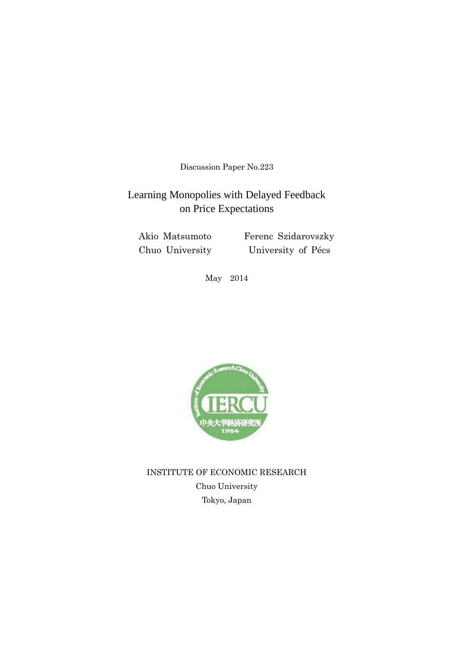Discussion Paper No.223

# Learning Monopolies with Delayed Feedback on Price Expectations

 Akio Matsumoto Ferenc Szidarovszky Chuo University University of Pécs

May 2014



INSTITUTE OF ECONOMIC RESEARCH Chuo University Tokyo, Japan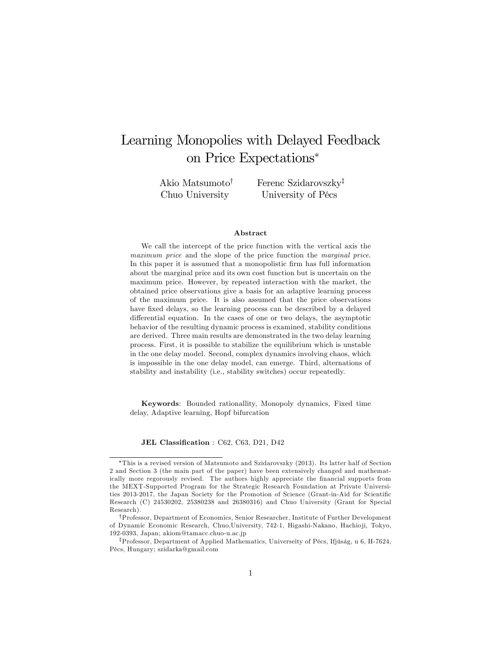# Learning Monopolies with Delayed Feedback on Price Expectations

Akio Matsumoto<sup>†</sup> Chuo University

Ferenc Szidarovszky<sup>‡</sup> University of Pécs

#### Abstract

We call the intercept of the price function with the vertical axis the maximum price and the slope of the price function the marginal price. In this paper it is assumed that a monopolistic firm has full information about the marginal price and its own cost function but is uncertain on the maximum price. However, by repeated interaction with the market, the obtained price observations give a basis for an adaptive learning process of the maximum price. It is also assumed that the price observations have fixed delays, so the learning process can be described by a delayed differential equation. In the cases of one or two delays, the asymptotic behavior of the resulting dynamic process is examined, stability conditions are derived. Three main results are demonstrated in the two delay learning process. First, it is possible to stabilize the equilibrium which is unstable in the one delay model. Second, complex dynamics involving chaos, which is impossible in the one delay model, can emerge. Third, alternations of stability and instability (i.e., stability switches) occur repeatedly.

Keywords: Bounded rationallity, Monopoly dynamics, Fixed time delay, Adaptive learning, Hopf bifurcation

JEL Classification : C62, C63, D21, D42

This is a revised version of Matsumoto and Szidarovszky (2013). Its latter half of Section 2 and Section 3 (the main part of the paper) have been extensively changed and mathematically more regorously revised. The authors highly appreciate the financial supports from the MEXT-Supported Program for the Strategic Research Foundation at Private Universities 2013-2017, the Japan Society for the Promotion of Science (Grant-in-Aid for Scientific Research (C) 24530202, 25380238 and 26380316) and Chuo University (Grant for Special Research).

yProfessor, Department of Economics, Senior Researcher, Institute of Further Development of Dynamic Economic Research, Chuo,University, 742-1, Higashi-Nakano, Hachio ji, Tokyo, 192-0393, Japan; akiom@tamacc.chuo-u.ac.jp

<sup>&</sup>lt;sup>‡</sup>Professor, Department of Applied Mathematics, Universeity of Pécs, Ifjúság, u 6, H-7624, PÈcs, Hungary; szidarka@gmail.com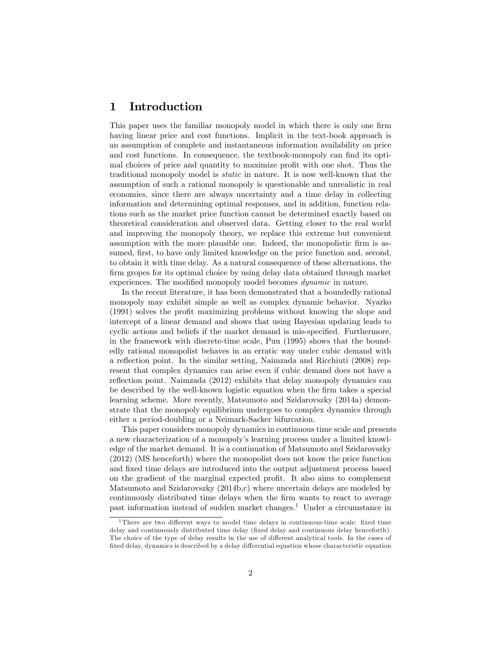# 1 Introduction

This paper uses the familiar monopoly model in which there is only one firm having linear price and cost functions. Implicit in the text-book approach is an assumption of complete and instantaneous information availability on price and cost functions. In consequence, the textbook-monopoly can find its optimal choices of price and quantity to maximize profit with one shot. Thus the traditional monopoly model is static in nature. It is now well-known that the assumption of such a rational monopoly is questionable and unrealistic in real economies, since there are always uncertainty and a time delay in collecting information and determining optimal responses, and in addition, function relations such as the market price function cannot be determined exactly based on theoretical consideration and observed data. Getting closer to the real world and improving the monopoly theory, we replace this extreme but convenient assumption with the more plausible one. Indeed, the monopolistic firm is assumed, first, to have only limited knowledge on the price function and, second, to obtain it with time delay. As a natural consequence of these alternations, the firm gropes for its optimal choice by using delay data obtained through market experiences. The modified monopoly model becomes *dynamic* in nature.

In the recent literature, it has been demonstrated that a boundedly rational monopoly may exhibit simple as well as complex dynamic behavior. Nyarko (1991) solves the profit maximizing problems without knowing the slope and intercept of a linear demand and shows that using Bayesian updating leads to cyclic actions and beliefs if the market demand is mis-specified. Furthermore, in the framework with discrete-time scale, Puu (1995) shows that the boundedly rational monopolist behaves in an erratic way under cubic demand with a reflection point. In the similar setting, Naimzada and Ricchiuti  $(2008)$  represent that complex dynamics can arise even if cubic demand does not have a reflection point. Naimzada (2012) exhibits that delay monopoly dynamics can be described by the well-known logistic equation when the firm takes a special learning scheme. More recently, Matsumoto and Szidarovszky (2014a) demonstrate that the monopoly equilibrium undergoes to complex dynamics through either a period-doubling or a Neimark-Sacker bifurcation.

This paper considers monopoly dynamics in continuous time scale and presents a new characterization of a monopolyís learning process under a limited knowledge of the market demand. It is a continuation of Matsumoto and Szidarovszky (2012) (MS henceforth) where the monopolist does not know the price function and fixed time delays are introduced into the output adjustment process based on the gradient of the marginal expected profit. It also aims to complement Matsumoto and Szidarovszky (2014b,c) where uncertain delays are modeled by continuously distributed time delays when the Örm wants to react to average past information instead of sudden market changes.<sup>1</sup> Under a circumstance in

 $1$ There are two different ways to model time delays in continuous-time scale: fixed time delay and continuously distributed time delay (fixed delay and continuous delay henceforth). The choice of the type of delay results in the use of different analytical tools. In the cases of fixed delay, dynamics is described by a delay differential equation whose characteristic equation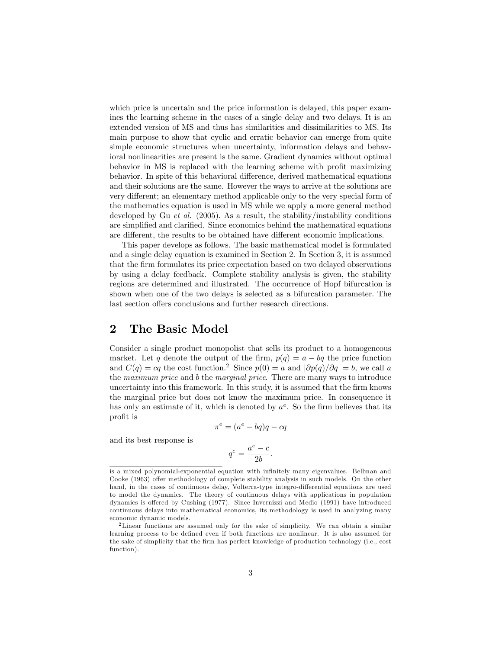which price is uncertain and the price information is delayed, this paper examines the learning scheme in the cases of a single delay and two delays. It is an extended version of MS and thus has similarities and dissimilarities to MS. Its main purpose to show that cyclic and erratic behavior can emerge from quite simple economic structures when uncertainty, information delays and behavioral nonlinearities are present is the same. Gradient dynamics without optimal behavior in MS is replaced with the learning scheme with profit maximizing behavior. In spite of this behavioral difference, derived mathematical equations and their solutions are the same. However the ways to arrive at the solutions are very different; an elementary method applicable only to the very special form of the mathematics equation is used in MS while we apply a more general method developed by Gu et al. (2005). As a result, the stability/instability conditions are simplified and clarified. Since economics behind the mathematical equations are different, the results to be obtained have different economic implications.

This paper develops as follows. The basic mathematical model is formulated and a single delay equation is examined in Section 2. In Section 3, it is assumed that the firm formulates its price expectation based on two delayed observations by using a delay feedback. Complete stability analysis is given, the stability regions are determined and illustrated. The occurrence of Hopf bifurcation is shown when one of the two delays is selected as a bifurcation parameter. The last section offers conclusions and further research directions.

### 2 The Basic Model

Consider a single product monopolist that sells its product to a homogeneous market. Let q denote the output of the firm,  $p(q) = a - bq$  the price function and  $C(q) = cq$  the cost function.<sup>2</sup> Since  $p(0) = a$  and  $|\partial p(q)/\partial q| = b$ , we call a the maximum price and b the marginal price. There are many ways to introduce uncertainty into this framework. In this study, it is assumed that the firm knows the marginal price but does not know the maximum price. In consequence it has only an estimate of it, which is denoted by  $a^e$ . So the firm believes that its profit is

$$
\pi^e = (a^e - bq)q - cq
$$

and its best response is

$$
q^e = \frac{a^e - c}{2b}.
$$

is a mixed polynomial-exponential equation with infinitely many eigenvalues. Bellman and Cooke (1963) offer methodology of complete stability analysis in such models. On the other hand, in the cases of continuous delay, Volterra-type integro-differential equations are used to model the dynamics. The theory of continuous delays with applications in population dynamics is offered by Cushing (1977). Since Invernizzi and Medio (1991) have introduced continuous delays into mathematical economics, its methodology is used in analyzing many economic dynamic models.

<sup>2</sup>Linear functions are assumed only for the sake of simplicity. We can obtain a similar learning process to be defined even if both functions are nonlinear. It is also assumed for the sake of simplicity that the firm has perfect knowledge of production technology (i.e., cost function).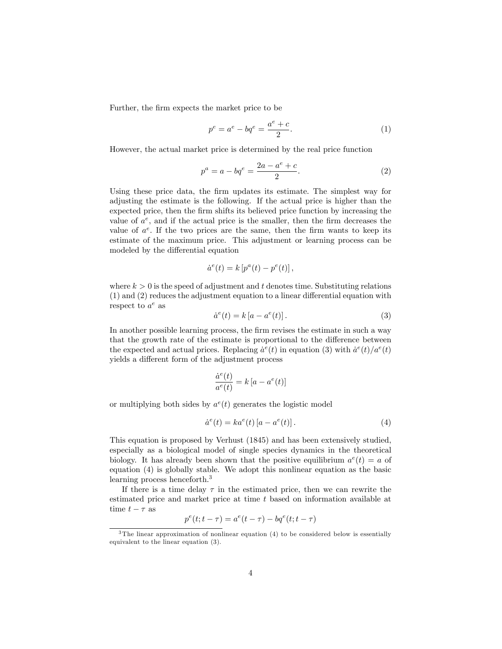Further, the firm expects the market price to be

$$
p^{e} = a^{e} - bq^{e} = \frac{a^{e} + c}{2}.
$$
 (1)

However, the actual market price is determined by the real price function

$$
p^{a} = a - bq^{e} = \frac{2a - a^{e} + c}{2}.
$$
 (2)

Using these price data, the firm updates its estimate. The simplest way for adjusting the estimate is the following. If the actual price is higher than the expected price, then the Örm shifts its believed price function by increasing the value of  $a^e$ , and if the actual price is the smaller, then the firm decreases the value of  $a^e$ . If the two prices are the same, then the firm wants to keep its estimate of the maximum price. This adjustment or learning process can be modeled by the differential equation

$$
\dot{a}^e(t) = k \left[ p^a(t) - p^e(t) \right],
$$

where  $k > 0$  is the speed of adjustment and t denotes time. Substituting relations  $(1)$  and  $(2)$  reduces the adjustment equation to a linear differential equation with respect to  $a^e$  as

$$
\dot{a}^e(t) = k \left[ a - a^e(t) \right]. \tag{3}
$$

In another possible learning process, the firm revises the estimate in such a way that the growth rate of the estimate is proportional to the difference between the expected and actual prices. Replacing  $\dot{a}^e(t)$  in equation (3) with  $\dot{a}^e(t)/a^e(t)$ yields a different form of the adjustment process

$$
\frac{\dot{a}^e(t)}{a^e(t)} = k [a - a^e(t)]
$$

or multiplying both sides by  $a^e(t)$  generates the logistic model

$$
\dot{a}^e(t) = ka^e(t) \left[ a - a^e(t) \right]. \tag{4}
$$

This equation is proposed by Verhust (1845) and has been extensively studied, especially as a biological model of single species dynamics in the theoretical biology. It has already been shown that the positive equilibrium  $a^e(t) = a$  of equation (4) is globally stable. We adopt this nonlinear equation as the basic learning process henceforth.<sup>3</sup>

If there is a time delay  $\tau$  in the estimated price, then we can rewrite the estimated price and market price at time t based on information available at time  $t - \tau$  as

$$
p^{e}(t; t-\tau) = a^{e}(t-\tau) - bq^{e}(t; t-\tau)
$$

 $3$ The linear approximation of nonlinear equation (4) to be considered below is essentially equivalent to the linear equation (3).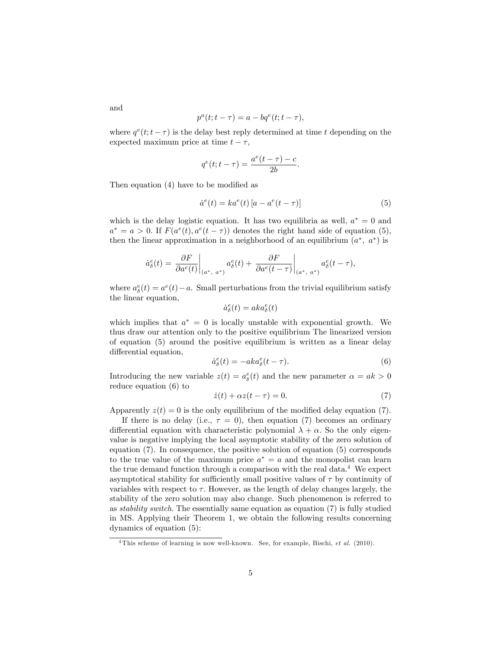$$
p^{a}(t; t-\tau) = a - bq^{e}(t; t-\tau),
$$

where  $q^e(t; t - \tau)$  is the delay best reply determined at time t depending on the expected maximum price at time  $t - \tau$ ,

$$
q^{e}(t; t-\tau) = \frac{a^{e}(t-\tau) - c}{2b}.
$$

Then equation  $(4)$  have to be modified as

$$
\dot{a}^e(t) = ka^e(t) \left[ a - a^e(t - \tau) \right] \tag{5}
$$

which is the delay logistic equation. It has two equilibria as well,  $a^* = 0$  and  $a^* = a > 0$ . If  $F(a^e(t), a^e(t-\tau))$  denotes the right hand side of equation (5), then the linear approximation in a neighborhood of an equilibrium  $(a^*, a^*)$  is

$$
\dot{a}_{\delta}^{e}(t)=\left.\frac{\partial F}{\partial a^{e}(t)}\right|_{(a^{*},~a^{*})}a_{\delta}^{e}(t)+\left.\frac{\partial F}{\partial a^{e}(t-\tau)}\right|_{(a^{*},~a^{*})}a_{\delta}^{e}(t-\tau),
$$

where  $a_{\delta}^{e}(t) = a^{e}(t) - a$ . Small perturbations from the trivial equilibrium satisfy the linear equation,

$$
\dot{a}^e_{\delta}(t) = a k a^e_{\delta}(t)
$$

which implies that  $a^* = 0$  is locally unstable with exponential growth. We thus draw our attention only to the positive equilibrium The linearized version of equation (5) around the positive equilibrium is written as a linear delay differential equation,

$$
\dot{a}_{\delta}^{e}(t) = -ak a_{\delta}^{e}(t-\tau). \tag{6}
$$

Introducing the new variable  $z(t) = a_{\delta}^{e}(t)$  and the new parameter  $\alpha = ak > 0$ reduce equation (6) to

$$
\dot{z}(t) + \alpha z(t - \tau) = 0. \tag{7}
$$

Apparently  $z(t) = 0$  is the only equilibrium of the modified delay equation (7).

If there is no delay (i.e.,  $\tau = 0$ ), then equation (7) becomes an ordinary differential equation with characteristic polynomial  $\lambda + \alpha$ . So the only eigenvalue is negative implying the local asymptotic stability of the zero solution of equation (7). In consequence, the positive solution of equation (5) corresponds to the true value of the maximum price  $a^* = a$  and the monopolist can learn the true demand function through a comparison with the real data.<sup>4</sup> We expect asymptotical stability for sufficiently small positive values of  $\tau$  by continuity of variables with respect to  $\tau$ . However, as the length of delay changes largely, the stability of the zero solution may also change. Such phenomenon is referred to as stability switch. The essentially same equation as equation (7) is fully studied in MS. Applying their Theorem 1, we obtain the following results concerning dynamics of equation (5):

and

<sup>&</sup>lt;sup>4</sup>This scheme of learning is now well-known. See, for example, Bischi, et al. (2010).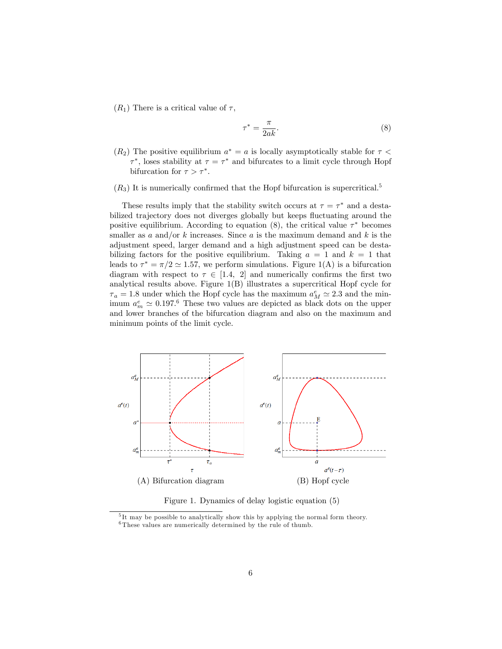$(R_1)$  There is a critical value of  $\tau$ ,

$$
\tau^* = \frac{\pi}{2ak}.\tag{8}
$$

 $(R_2)$  The positive equilibrium  $a^* = a$  is locally asymptotically stable for  $\tau <$  $\tau^*$ , loses stability at  $\tau = \tau^*$  and bifurcates to a limit cycle through Hopf bifurcation for  $\tau > \tau^*$ .

ć

 $(R_3)$  It is numerically confirmed that the Hopf bifurcation is supercritical.<sup>5</sup>

These results imply that the stability switch occurs at  $\tau = \tau^*$  and a destabilized trajectory does not diverges globally but keeps fluctuating around the positive equilibrium. According to equation (8), the critical value  $\tau^*$  becomes smaller as a and/or k increases. Since a is the maximum demand and k is the adjustment speed, larger demand and a high adjustment speed can be destabilizing factors for the positive equilibrium. Taking  $a = 1$  and  $k = 1$  that leads to  $\tau^* = \pi/2 \simeq 1.57$ , we perform simulations. Figure 1(A) is a bifurcation diagram with respect to  $\tau \in [1.4, 2]$  and numerically confirms the first two analytical results above. Figure 1(B) illustrates a supercritical Hopf cycle for  $\tau_a = 1.8$  under which the Hopf cycle has the maximum  $a_M^e \simeq 2.3$  and the minimum  $a_m^e \simeq 0.197$ .<sup>6</sup> These two values are depicted as black dots on the upper and lower branches of the bifurcation diagram and also on the maximum and minimum points of the limit cycle.



Figure 1. Dynamics of delay logistic equation (5)

<sup>&</sup>lt;sup>5</sup>It may be possible to analytically show this by applying the normal form theory.  $^6\mathrm{These}$  values are numerically determined by the rule of thumb.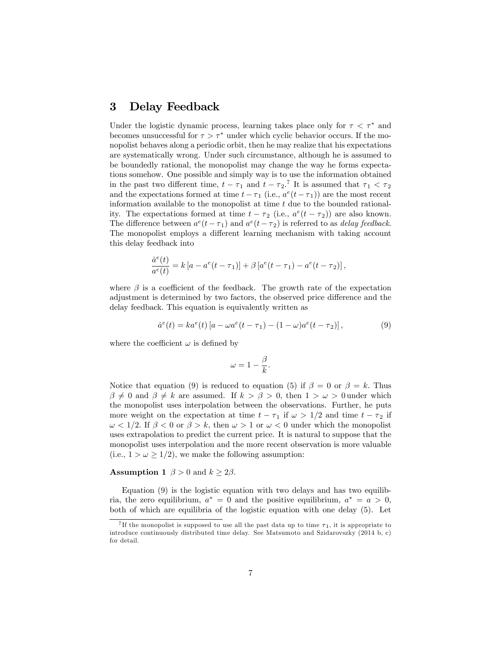## 3 Delay Feedback

Under the logistic dynamic process, learning takes place only for  $\tau < \tau^*$  and becomes unsuccessful for  $\tau > \tau^*$  under which cyclic behavior occurs. If the monopolist behaves along a periodic orbit, then he may realize that his expectations are systematically wrong. Under such circumstance, although he is assumed to be boundedly rational, the monopolist may change the way he forms expectations somehow. One possible and simply way is to use the information obtained in the past two different time,  $t - \tau_1$  and  $t - \tau_2$ .<sup>7</sup> It is assumed that  $\tau_1 < \tau_2$ and the expectations formed at time  $t - \tau_1$  (i.e.,  $a^e(t - \tau_1)$ ) are the most recent information available to the monopolist at time  $t$  due to the bounded rationality. The expectations formed at time  $t - \tau_2$  (i.e.,  $a^e(t - \tau_2)$ ) are also known. The difference between  $a^e(t-\tau_1)$  and  $a^e(t-\tau_2)$  is referred to as *delay feedback*. The monopolist employs a different learning mechanism with taking account this delay feedback into

$$
\frac{\dot{a}^e(t)}{a^e(t)} = k [a - a^e(t - \tau_1)] + \beta [a^e(t - \tau_1) - a^e(t - \tau_2)],
$$

where  $\beta$  is a coefficient of the feedback. The growth rate of the expectation adjustment is determined by two factors, the observed price difference and the delay feedback. This equation is equivalently written as

$$
\dot{a}^{e}(t) = ka^{e}(t) [a - \omega a^{e}(t - \tau_{1}) - (1 - \omega)a^{e}(t - \tau_{2})], \qquad (9)
$$

where the coefficient  $\omega$  is defined by

$$
\omega = 1 - \frac{\beta}{k}.
$$

Notice that equation (9) is reduced to equation (5) if  $\beta = 0$  or  $\beta = k$ . Thus  $\beta \neq 0$  and  $\beta \neq k$  are assumed. If  $k > \beta > 0$ , then  $1 > \omega > 0$  under which the monopolist uses interpolation between the observations. Further, he puts more weight on the expectation at time  $t - \tau_1$  if  $\omega > 1/2$  and time  $t - \tau_2$  if  $\omega < 1/2$ . If  $\beta < 0$  or  $\beta > k$ , then  $\omega > 1$  or  $\omega < 0$  under which the monopolist uses extrapolation to predict the current price. It is natural to suppose that the monopolist uses interpolation and the more recent observation is more valuable (i.e.,  $1 > \omega \geq 1/2$ ), we make the following assumption:

### **Assumption 1**  $\beta > 0$  and  $k \geq 2\beta$ .

Equation (9) is the logistic equation with two delays and has two equilibria, the zero equilibrium,  $a^* = 0$  and the positive equilibrium,  $a^* = a > 0$ , both of which are equilibria of the logistic equation with one delay (5). Let

<sup>&</sup>lt;sup>7</sup>If the monopolist is supposed to use all the past data up to time  $\tau_1$ , it is appropriate to introduce continuously distributed time delay. See Matsumoto and Szidarovszky (2014 b, c) for detail.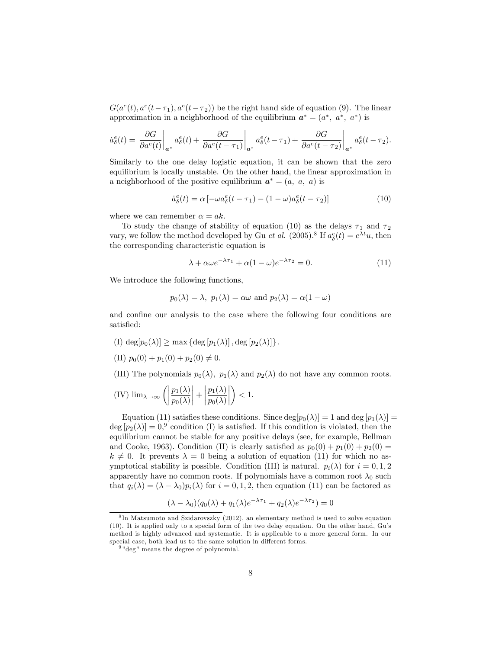$G(a^e(t), a^e(t-\tau_1), a^e(t-\tau_2))$  be the right hand side of equation (9). The linear approximation in a neighborhood of the equilibrium  $a^* = (a^*, a^*, a^*)$  is

$$
\dot{a}_{\delta}^{e}(t) = \left. \frac{\partial G}{\partial a^{e}(t)} \right|_{a^{*}} a_{\delta}^{e}(t) + \left. \frac{\partial G}{\partial a^{e}(t-\tau_{1})} \right|_{a^{*}} a_{\delta}^{e}(t-\tau_{1}) + \left. \frac{\partial G}{\partial a^{e}(t-\tau_{2})} \right|_{a^{*}} a_{\delta}^{e}(t-\tau_{2}).
$$

Similarly to the one delay logistic equation, it can be shown that the zero equilibrium is locally unstable. On the other hand, the linear approximation in a neighborhood of the positive equilibrium  $a^* = (a, a, a)$  is

$$
\dot{a}_{\delta}^{e}(t) = \alpha \left[ -\omega a_{\delta}^{e}(t-\tau_{1}) - (1-\omega)a_{\delta}^{e}(t-\tau_{2}) \right]
$$
\n(10)

where we can remember  $\alpha = ak$ .

To study the change of stability of equation (10) as the delays  $\tau_1$  and  $\tau_2$ vary, we follow the method developed by Gu et al. (2005).<sup>8</sup> If  $a^e_{\delta}(t) = e^{\lambda t}u$ , then the corresponding characteristic equation is

$$
\lambda + \alpha \omega e^{-\lambda \tau_1} + \alpha (1 - \omega) e^{-\lambda \tau_2} = 0.
$$
 (11)

We introduce the following functions,

$$
p_0(\lambda) = \lambda
$$
,  $p_1(\lambda) = \alpha \omega$  and  $p_2(\lambda) = \alpha(1 - \omega)$ 

and confine our analysis to the case where the following four conditions are satisfied:

- (I)  $\deg[p_0(\lambda)] \ge \max \{ \deg[p_1(\lambda)], \deg[p_2(\lambda)] \}.$
- (II)  $p_0(0) + p_1(0) + p_2(0) \neq 0.$
- (III) The polynomials  $p_0(\lambda)$ ,  $p_1(\lambda)$  and  $p_2(\lambda)$  do not have any common roots.

(IV) 
$$
\lim_{\lambda \to \infty} \left( \left| \frac{p_1(\lambda)}{p_0(\lambda)} \right| + \left| \frac{p_1(\lambda)}{p_0(\lambda)} \right| \right) < 1.
$$

Equation (11) satisfies these conditions. Since  $\deg[p_0(\lambda)] = 1$  and  $\deg[p_1(\lambda)] =$  $\deg [p_2(\lambda)] = 0$ , condition (I) is satisfied. If this condition is violated, then the equilibrium cannot be stable for any positive delays (see, for example, Bellman and Cooke, 1963). Condition (II) is clearly satisfied as  $p_0(0) + p_1(0) + p_2(0) =$  $k \neq 0$ . It prevents  $\lambda = 0$  being a solution of equation (11) for which no asymptotical stability is possible. Condition (III) is natural.  $p_i(\lambda)$  for  $i = 0, 1, 2$ apparently have no common roots. If polynomials have a common root  $\lambda_0$  such that  $q_i(\lambda) = (\lambda - \lambda_0)p_i(\lambda)$  for  $i = 0, 1, 2$ , then equation (11) can be factored as

$$
(\lambda - \lambda_0)(q_0(\lambda) + q_1(\lambda)e^{-\lambda \tau_1} + q_2(\lambda)e^{-\lambda \tau_2}) = 0
$$

<sup>8</sup> In Matsumoto and Szidarovszky (2012), an elementary method is used to solve equation (10). It is applied only to a special form of the two delay equation. On the other hand, Guís method is highly advanced and systematic. It is applicable to a more general form. In our special case, both lead us to the same solution in different forms.

 $9\degree$  deg" means the degree of polynomial.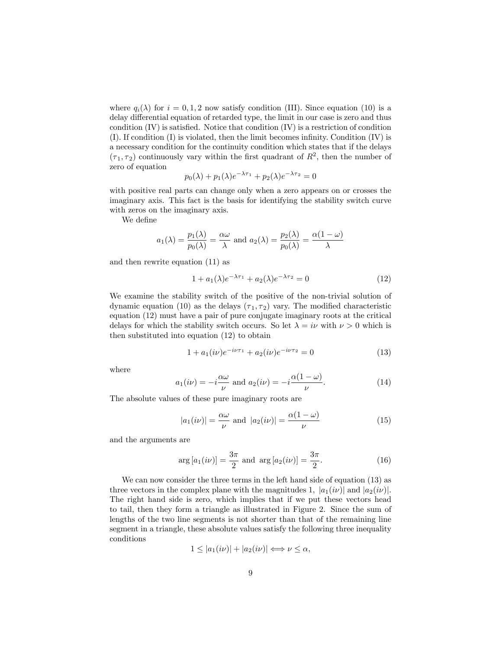where  $q_i(\lambda)$  for  $i = 0, 1, 2$  now satisfy condition (III). Since equation (10) is a delay differential equation of retarded type, the limit in our case is zero and thus condition  $(IV)$  is satisfied. Notice that condition  $(IV)$  is a restriction of condition  $(I)$ . If condition  $(I)$  is violated, then the limit becomes infinity. Condition  $(IV)$  is a necessary condition for the continuity condition which states that if the delays  $(\tau_1, \tau_2)$  continuously vary within the first quadrant of  $R^2$ , then the number of zero of equation

$$
p_0(\lambda) + p_1(\lambda)e^{-\lambda \tau_1} + p_2(\lambda)e^{-\lambda \tau_2} = 0
$$

with positive real parts can change only when a zero appears on or crosses the imaginary axis. This fact is the basis for identifying the stability switch curve with zeros on the imaginary axis.

We define

$$
a_1(\lambda) = \frac{p_1(\lambda)}{p_0(\lambda)} = \frac{\alpha \omega}{\lambda}
$$
 and  $a_2(\lambda) = \frac{p_2(\lambda)}{p_0(\lambda)} = \frac{\alpha(1-\omega)}{\lambda}$ 

and then rewrite equation (11) as

$$
1 + a_1(\lambda)e^{-\lambda \tau_1} + a_2(\lambda)e^{-\lambda \tau_2} = 0 \tag{12}
$$

We examine the stability switch of the positive of the non-trivial solution of dynamic equation (10) as the delays  $(\tau_1, \tau_2)$  vary. The modified characteristic equation (12) must have a pair of pure conjugate imaginary roots at the critical delays for which the stability switch occurs. So let  $\lambda = i\nu$  with  $\nu > 0$  which is then substituted into equation (12) to obtain

$$
1 + a_1(i\nu)e^{-i\nu\tau_1} + a_2(i\nu)e^{-i\nu\tau_2} = 0 \tag{13}
$$

where

$$
a_1(i\nu) = -i\frac{\alpha\omega}{\nu} \text{ and } a_2(i\nu) = -i\frac{\alpha(1-\omega)}{\nu}.
$$
 (14)

The absolute values of these pure imaginary roots are

$$
|a_1(i\nu)| = \frac{\alpha\omega}{\nu} \text{ and } |a_2(i\nu)| = \frac{\alpha(1-\omega)}{\nu}
$$
 (15)

and the arguments are

$$
\arg\left[a_1(i\nu)\right] = \frac{3\pi}{2} \text{ and } \arg\left[a_2(i\nu)\right] = \frac{3\pi}{2}.
$$
 (16)

We can now consider the three terms in the left hand side of equation (13) as three vectors in the complex plane with the magnitudes 1,  $|a_1(i\nu)|$  and  $|a_2(i\nu)|$ . The right hand side is zero, which implies that if we put these vectors head to tail, then they form a triangle as illustrated in Figure 2. Since the sum of lengths of the two line segments is not shorter than that of the remaining line segment in a triangle, these absolute values satisfy the following three inequality conditions

$$
1 \le |a_1(i\nu)| + |a_2(i\nu)| \Longleftrightarrow \nu \le \alpha,
$$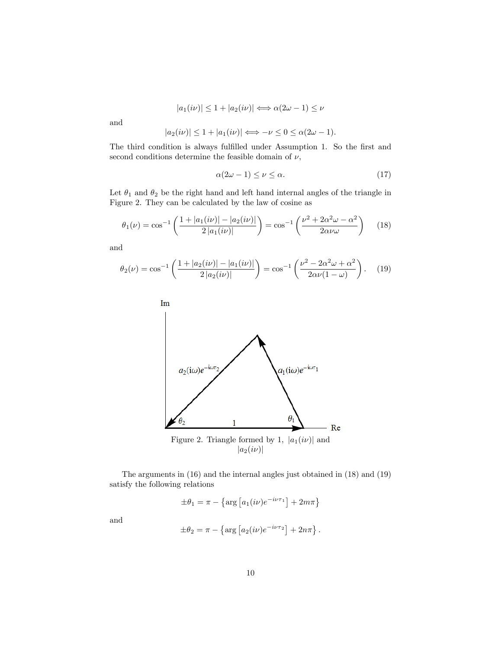$$
|a_1(i\nu)| \le 1 + |a_2(i\nu)| \Longleftrightarrow \alpha(2\omega - 1) \le \nu
$$

and

$$
|a_2(i\nu)| \le 1 + |a_1(i\nu)| \Longleftrightarrow -\nu \le 0 \le \alpha(2\omega - 1).
$$

The third condition is always fulfilled under Assumption 1. So the first and second conditions determine the feasible domain of  $\nu$ ,

$$
\alpha(2\omega - 1) \le \nu \le \alpha. \tag{17}
$$

Let  $\theta_1$  and  $\theta_2$  be the right hand and left hand internal angles of the triangle in Figure 2. They can be calculated by the law of cosine as

$$
\theta_1(\nu) = \cos^{-1}\left(\frac{1+|a_1(i\nu)|-|a_2(i\nu)|}{2|a_1(i\nu)|}\right) = \cos^{-1}\left(\frac{\nu^2+2\alpha^2\omega-\alpha^2}{2\alpha\nu\omega}\right) \tag{18}
$$

and

$$
\theta_2(\nu) = \cos^{-1}\left(\frac{1+|a_2(i\nu)|-|a_1(i\nu)|}{2|a_2(i\nu)|}\right) = \cos^{-1}\left(\frac{\nu^2 - 2\alpha^2\omega + \alpha^2}{2\alpha\nu(1-\omega)}\right). \tag{19}
$$



Figure 2. Triangle formed by 1,  $|a_1(i\nu)|$  and  $|a_2(i\nu)|$ 

The arguments in (16) and the internal angles just obtained in (18) and (19) satisfy the following relations

$$
\pm \theta_1 = \pi - \left\{ \arg \left[ a_1(i\nu) e^{-i\nu\tau_1} \right] + 2m\pi \right\}
$$

and

$$
\pm \theta_2 = \pi - \left\{ \arg \left[ a_2(i\nu) e^{-i\nu\tau_2} \right] + 2n\pi \right\}.
$$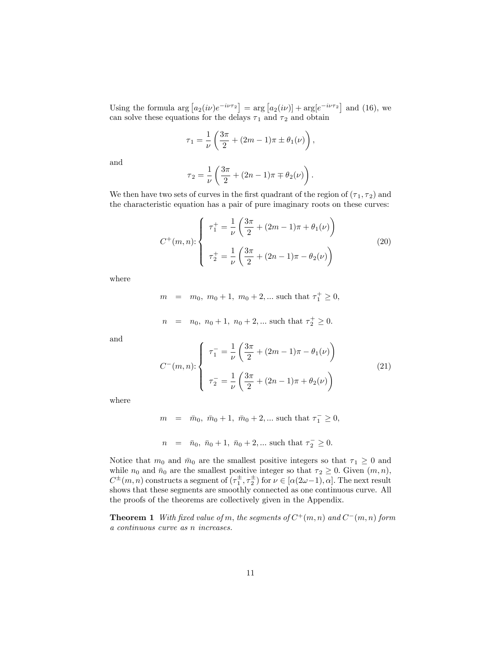Using the formula arg  $[a_2(i\nu)e^{-i\nu\tau_2}] = \arg [a_2(i\nu)] + \arg [e^{-i\nu\tau_2}]$  and (16), we can solve these equations for the delays  $\tau_1$  and  $\tau_2$  and obtain

$$
\tau_1 = \frac{1}{\nu} \left( \frac{3\pi}{2} + (2m - 1)\pi \pm \theta_1(\nu) \right),
$$

and

$$
\tau_2 = \frac{1}{\nu} \left( \frac{3\pi}{2} + (2n - 1)\pi \mp \theta_2(\nu) \right).
$$

We then have two sets of curves in the first quadrant of the region of  $(\tau_1, \tau_2)$  and the characteristic equation has a pair of pure imaginary roots on these curves:

$$
C^{+}(m, n): \begin{cases} \tau_{1}^{+} = \frac{1}{\nu} \left( \frac{3\pi}{2} + (2m - 1)\pi + \theta_{1}(\nu) \right) \\ \tau_{2}^{+} = \frac{1}{\nu} \left( \frac{3\pi}{2} + (2n - 1)\pi - \theta_{2}(\nu) \right) \end{cases}
$$
(20)

where

$$
m = m_0, m_0 + 1, m_0 + 2, ...
$$
 such that  $\tau_1^+ \ge 0$ ,

$$
n = n_0, n_0 + 1, n_0 + 2, ...
$$
 such that  $\tau_2^+ \ge 0$ .

and

$$
C^{-}(m, n): \begin{cases} \tau_1^- = \frac{1}{\nu} \left( \frac{3\pi}{2} + (2m - 1)\pi - \theta_1(\nu) \right) \\ \tau_2^- = \frac{1}{\nu} \left( \frac{3\pi}{2} + (2n - 1)\pi + \theta_2(\nu) \right) \end{cases}
$$
(21)

where

$$
m = \bar{m}_0, \ \bar{m}_0 + 1, \ \bar{m}_0 + 2, \dots
$$
 such that  $\tau_1^- \ge 0$ ,

$$
n = \bar{n}_0, \bar{n}_0 + 1, \bar{n}_0 + 2, \dots
$$
 such that  $\tau_2^{-} \geq 0$ .

Notice that  $m_0$  and  $\bar{m}_0$  are the smallest positive integers so that  $\tau_1 \geq 0$  and while  $n_0$  and  $\bar{n}_0$  are the smallest positive integer so that  $\tau_2 \geq 0$ . Given  $(m, n)$ ,  $C^{\pm}(m,n)$  constructs a segment of  $(\tau_1^{\pm}, \tau_2^{\pm})$  for  $\nu \in [\alpha(2\omega-1), \alpha]$ . The next result shows that these segments are smoothly connected as one continuous curve. All the proofs of the theorems are collectively given in the Appendix.

**Theorem 1** With fixed value of m, the segments of  $C^+(m, n)$  and  $C^-(m, n)$  form a continuous curve as n increases.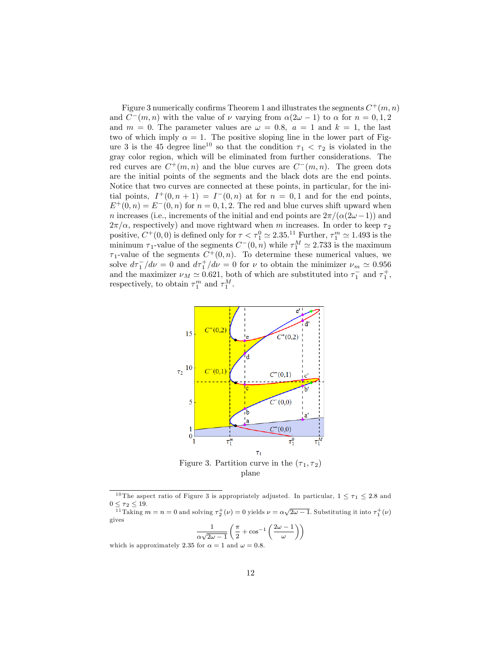Figure 3 numerically confirms Theorem 1 and illustrates the segments  $C^+(m,n)$ and  $C^-(m,n)$  with the value of  $\nu$  varying from  $\alpha(2\omega - 1)$  to  $\alpha$  for  $n = 0,1,2$ and  $m = 0$ . The parameter values are  $\omega = 0.8$ ,  $a = 1$  and  $k = 1$ , the last two of which imply  $\alpha = 1$ . The positive sloping line in the lower part of Figure 3 is the 45 degree line<sup>10</sup> so that the condition  $\tau_1 < \tau_2$  is violated in the gray color region, which will be eliminated from further considerations. The red curves are  $C^+(m,n)$  and the blue curves are  $C^-(m,n)$ . The green dots are the initial points of the segments and the black dots are the end points. Notice that two curves are connected at these points, in particular, for the initial points,  $I^+(0, n+1) = I^-(0, n)$  at for  $n = 0, 1$  and for the end points,  $E^+(0, n) = E^-(0, n)$  for  $n = 0, 1, 2$ . The red and blue curves shift upward when n increases (i.e., increments of the initial and end points are  $2\pi/(\alpha(2\omega - 1))$  and  $2\pi/\alpha$ , respectively) and move rightward when m increases. In order to keep  $\tau_2$ positive,  $C^+(0,0)$  is defined only for  $\tau < \tau_1^0 \simeq 2.35$ .<sup>11</sup> Further,  $\tau_1^m \simeq 1.493$  is the minimum  $\tau_1$ -value of the segments  $C^-(0, n)$  while  $\tau_1^M \simeq 2.733$  is the maximum  $\tau_1$ -value of the segments  $C^+(0,n)$ . To determine these numerical values, we solve  $d\tau_1^-/d\nu = 0$  and  $d\tau_1^+/d\nu = 0$  for  $\nu$  to obtain the minimizer  $\nu_m \simeq 0.956$ and the maximizer  $\nu_M \simeq 0.621$ , both of which are substituted into  $\tau_1^-$  and  $\tau_1^+$ , respectively, to obtain  $\tau_1^m$  and  $\tau_1^M$ .



plane

$$
\frac{1}{\alpha\sqrt{2\omega - 1}} \left( \frac{\pi}{2} + \cos^{-1} \left( \frac{2\omega - 1}{\omega} \right) \right)
$$
  
for  $\alpha = 1$  and  $\omega = 0.8$ .

which is approximately  $2.35$ 

<sup>&</sup>lt;sup>10</sup> The aspect ratio of Figure 3 is appropriately adjusted. In particular,  $1 \leq \tau_1 \leq 2.8$  and  $\leq \tau_2 \leq 19$ .

<sup>&</sup>lt;sup>11</sup>Taking  $m = n = 0$  and solving  $\tau_2^+(\nu) = 0$  yields  $\nu = \alpha\sqrt{2\omega - 1}$ . Substituting it into  $\tau_1^+(\nu)$ gives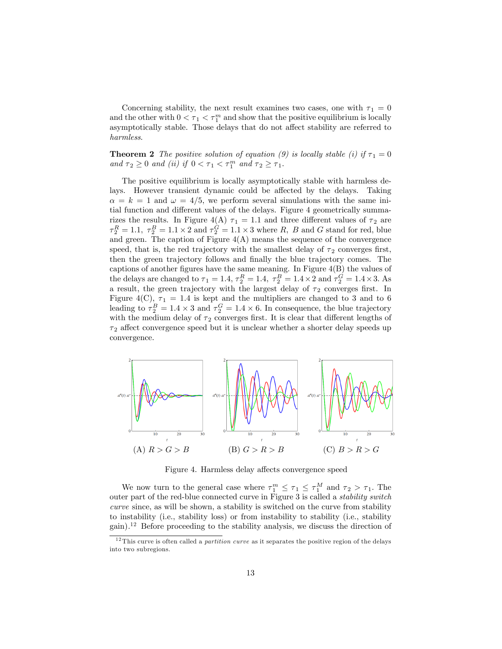Concerning stability, the next result examines two cases, one with  $\tau_1 = 0$ and the other with  $0 < \tau_1 < \tau_1^m$  and show that the positive equilibrium is locally asymptotically stable. Those delays that do not affect stability are referred to harmless.

**Theorem 2** The positive solution of equation (9) is locally stable (i) if  $\tau_1 = 0$ and  $\tau_2 \geq 0$  and (ii) if  $0 < \tau_1 < \tau_1^m$  and  $\tau_2 \geq \tau_1$ .

The positive equilibrium is locally asymptotically stable with harmless delays. However transient dynamic could be affected by the delays. Taking  $\alpha = k = 1$  and  $\omega = 4/5$ , we perform several simulations with the same initial function and different values of the delays. Figure 4 geometrically summarizes the results. In Figure 4(A)  $\tau_1 = 1.1$  and three different values of  $\tau_2$  are  $\tau_2^R = 1.1, \ \tau_2^B = 1.1 \times 2$  and  $\tau_2^G = 1.1 \times 3$  where R, B and G stand for red, blue and green. The caption of Figure  $4(A)$  means the sequence of the convergence speed, that is, the red trajectory with the smallest delay of  $\tau_2$  converges first, then the green trajectory follows and finally the blue trajectory comes. The captions of another figures have the same meaning. In Figure  $4(B)$  the values of the delays are changed to  $\tau_1 = 1.4$ ,  $\tau_2^R = 1.4$ ,  $\tau_2^B = 1.4 \times 2$  and  $\tau_2^G = 1.4 \times 3$ . As a result, the green trajectory with the largest delay of  $\tau_2$  converges first. In Figure 4(C),  $\tau_1 = 1.4$  is kept and the multipliers are changed to 3 and to 6 leading to  $\tau_2^B = 1.4 \times 3$  and  $\tau_2^G = 1.4 \times 6$ . In consequence, the blue trajectory with the medium delay of  $\tau_2$  converges first. It is clear that different lengths of  $\tau_2$  affect convergence speed but it is unclear whether a shorter delay speeds up convergence.



Figure 4. Harmless delay affects convergence speed

We now turn to the general case where  $\tau_1^m \leq \tau_1 \leq \tau_1^M$  and  $\tau_2 > \tau_1$ . The outer part of the red-blue connected curve in Figure 3 is called a stability switch curve since, as will be shown, a stability is switched on the curve from stability to instability (i.e., stability loss) or from instability to stability (i.e., stability gain). <sup>12</sup> Before proceeding to the stability analysis, we discuss the direction of

 $12$  This curve is often called a *partition curve* as it separates the positive region of the delays into two subregions.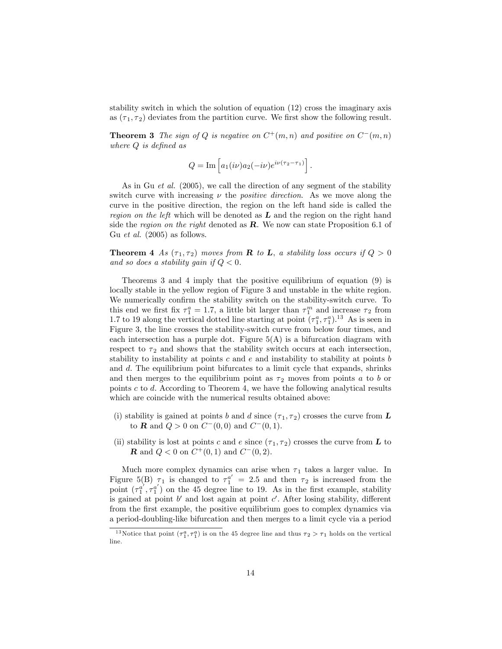stability switch in which the solution of equation (12) cross the imaginary axis as  $(\tau_1, \tau_2)$  deviates from the partition curve. We first show the following result.

**Theorem 3** The sign of Q is negative on  $C^+(m,n)$  and positive on  $C^-(m,n)$ where  $Q$  is defined as

$$
Q = \mathrm{Im} \left[ a_1(i\nu) a_2(-i\nu) e^{i\nu(\tau_2 - \tau_1)} \right].
$$

As in Gu *et al.* (2005), we call the direction of any segment of the stability switch curve with increasing  $\nu$  the *positive direction*. As we move along the curve in the positive direction, the region on the left hand side is called the region on the left which will be denoted as  $L$  and the region on the right hand side the region on the right denoted as  $\bf{R}$ . We now can state Proposition 6.1 of Gu et al. (2005) as follows.

**Theorem 4** As  $(\tau_1, \tau_2)$  moves from **R** to **L**, a stability loss occurs if  $Q > 0$ and so does a stability qain if  $Q < 0$ .

Theorems 3 and 4 imply that the positive equilibrium of equation (9) is locally stable in the yellow region of Figure 3 and unstable in the white region. We numerically confirm the stability switch on the stability-switch curve. To this end we first fix  $\tau_1^a = 1.7$ , a little bit larger than  $\tau_1^m$  and increase  $\tau_2$  from 1.7 to 19 along the vertical dotted line starting at point  $(\tau_1^a, \tau_1^a)$ .<sup>13</sup> As is seen in Figure 3, the line crosses the stability-switch curve from below four times, and each intersection has a purple dot. Figure  $5(A)$  is a bifurcation diagram with respect to  $\tau_2$  and shows that the stability switch occurs at each intersection, stability to instability at points c and  $e$  and instability to stability at points b and d. The equilibrium point bifurcates to a limit cycle that expands, shrinks and then merges to the equilibrium point as  $\tau_2$  moves from points a to b or points  $c$  to  $d$ . According to Theorem 4, we have the following analytical results which are coincide with the numerical results obtained above:

- (i) stability is gained at points b and d since  $(\tau_1, \tau_2)$  crosses the curve from L to **R** and  $Q > 0$  on  $C^-(0,0)$  and  $C^-(0,1)$ .
- (ii) stability is lost at points c and e since  $(\tau_1, \tau_2)$  crosses the curve from L to **R** and  $Q < 0$  on  $C^+(0,1)$  and  $C^-(0,2)$ .

Much more complex dynamics can arise when  $\tau_1$  takes a larger value. In Figure 5(B)  $\tau_1$  is changed to  $\tau_1^{a'} = 2.5$  and then  $\tau_2$  is increased from the point  $(\tau_1^{a'}, \tau_1^{a'})$  on the 45 degree line to 19. As in the first example, stability is gained at point  $b'$  and lost again at point  $c'$ . After losing stability, different from the first example, the positive equilibrium goes to complex dynamics via a period-doubling-like bifurcation and then merges to a limit cycle via a period

<sup>&</sup>lt;sup>13</sup> Notice that point  $(\tau_1^a, \tau_1^a)$  is on the 45 degree line and thus  $\tau_2 > \tau_1$  holds on the vertical line.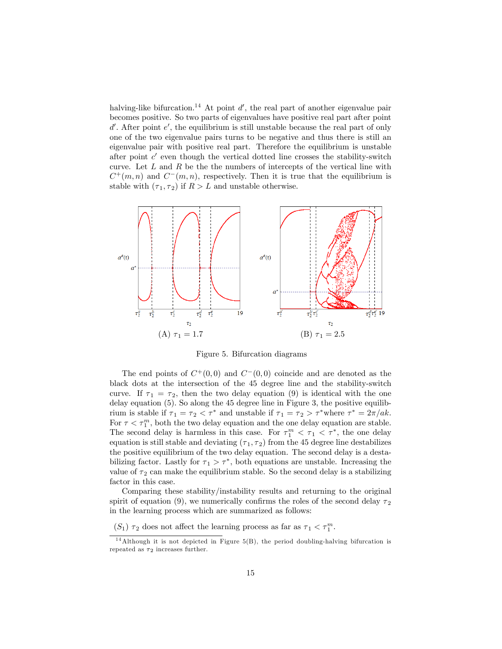halving-like bifurcation.<sup>14</sup> At point  $d'$ , the real part of another eigenvalue pair becomes positive. So two parts of eigenvalues have positive real part after point  $d'$ . After point  $e'$ , the equilibrium is still unstable because the real part of only one of the two eigenvalue pairs turns to be negative and thus there is still an eigenvalue pair with positive real part. Therefore the equilibrium is unstable after point  $c'$  even though the vertical dotted line crosses the stability-switch curve. Let  $L$  and  $R$  be the the numbers of intercepts of the vertical line with  $C^+(m,n)$  and  $C^-(m,n)$ , respectively. Then it is true that the equilibrium is stable with  $(\tau_1, \tau_2)$  if  $R > L$  and unstable otherwise.



Figure 5. Bifurcation diagrams

The end points of  $C^+(0,0)$  and  $C^-(0,0)$  coincide and are denoted as the black dots at the intersection of the 45 degree line and the stability-switch curve. If  $\tau_1 = \tau_2$ , then the two delay equation (9) is identical with the one delay equation (5). So along the 45 degree line in Figure 3, the positive equilibrium is stable if  $\tau_1 = \tau_2 < \tau^*$  and unstable if  $\tau_1 = \tau_2 > \tau^*$  where  $\tau^* = 2\pi/ak$ . For  $\tau < \tau_1^m$ , both the two delay equation and the one delay equation are stable. The second delay is harmless in this case. For  $\tau_1^m < \tau_1 < \tau^*$ , the one delay equation is still stable and deviating  $(\tau_1, \tau_2)$  from the 45 degree line destabilizes the positive equilibrium of the two delay equation. The second delay is a destabilizing factor. Lastly for  $\tau_1 > \tau^*$ , both equations are unstable. Increasing the value of  $\tau_2$  can make the equilibrium stable. So the second delay is a stabilizing factor in this case.

Comparing these stability/instability results and returning to the original spirit of equation (9), we numerically confirms the roles of the second delay  $\tau_2$ in the learning process which are summarized as follows:

 $(S_1)$   $\tau_2$  does not affect the learning process as far as  $\tau_1 < \tau_1^m$ .

 $14$ Although it is not depicted in Figure 5(B), the period doubling-halving bifurcation is repeated as  $\tau_2$  increases further.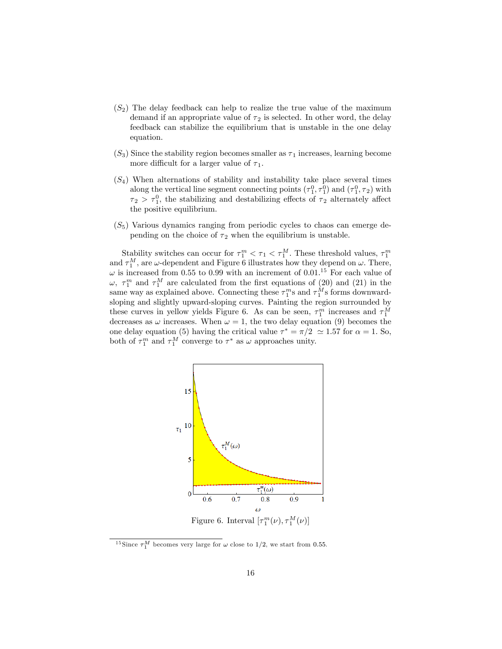- $(S_2)$  The delay feedback can help to realize the true value of the maximum demand if an appropriate value of  $\tau_2$  is selected. In other word, the delay feedback can stabilize the equilibrium that is unstable in the one delay equation.
- $(S_3)$  Since the stability region becomes smaller as  $\tau_1$  increases, learning become more difficult for a larger value of  $\tau_1$ .
- $(S_4)$  When alternations of stability and instability take place several times along the vertical line segment connecting points  $(\tau_1^0, \tau_1^0)$  and  $(\tau_1^0, \tau_2)$  with  $\tau_2 > \tau_1^0$ , the stabilizing and destabilizing effects of  $\tau_2$  alternately affect the positive equilibrium.
- $(S<sub>5</sub>)$  Various dynamics ranging from periodic cycles to chaos can emerge depending on the choice of  $\tau_2$  when the equilibrium is unstable.

Stability switches can occur for  $\tau_1^m < \tau_1 < \tau_1^M$ . These threshold values,  $\tau_1^m$ and  $\tau_1^M$ , are  $\omega$ -dependent and Figure 6 illustrates how they depend on  $\omega$ . There,  $\omega$  is increased from 0.55 to 0.99 with an increment of 0.01.<sup>15</sup> For each value of  $\omega, \tau_1^m$  and  $\tau_1^M$  are calculated from the first equations of (20) and (21) in the same way as explained above. Connecting these  $\tau_1^m$ s and  $\tau_1^M$ s forms downwardsloping and slightly upward-sloping curves. Painting the region surrounded by these curves in yellow yields Figure 6. As can be seen,  $\tau_1^m$  increases and  $\tau_1^M$ decreases as  $\omega$  increases. When  $\omega = 1$ , the two delay equation (9) becomes the one delay equation (5) having the critical value  $\tau^* = \pi/2 \approx 1.57$  for  $\alpha = 1$ . So, both of  $\tau_1^m$  and  $\tau_1^M$  converge to  $\tau^*$  as  $\omega$  approaches unity.



<sup>15</sup> Since  $\tau_1^M$  becomes very large for  $\omega$  close to 1/2, we start from 0.55.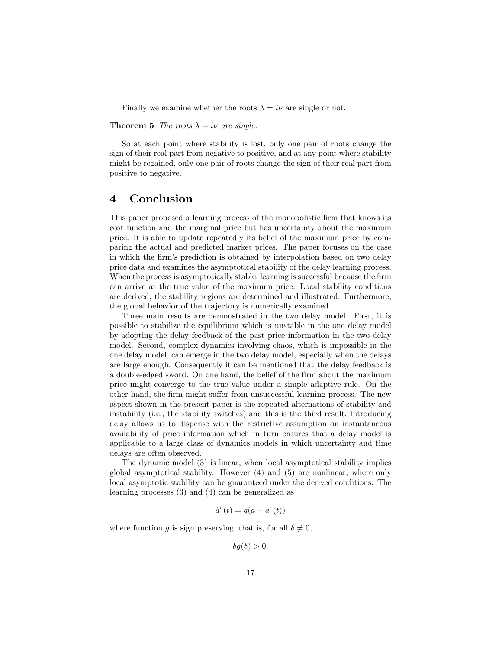Finally we examine whether the roots  $\lambda = i\nu$  are single or not.

**Theorem 5** The roots  $\lambda = i\nu$  are single.

So at each point where stability is lost, only one pair of roots change the sign of their real part from negative to positive, and at any point where stability might be regained, only one pair of roots change the sign of their real part from positive to negative.

### 4 Conclusion

This paper proposed a learning process of the monopolistic firm that knows its cost function and the marginal price but has uncertainty about the maximum price. It is able to update repeatedly its belief of the maximum price by comparing the actual and predicted market prices. The paper focuses on the case in which the firm's prediction is obtained by interpolation based on two delay price data and examines the asymptotical stability of the delay learning process. When the process is asymptotically stable, learning is successful because the firm can arrive at the true value of the maximum price. Local stability conditions are derived, the stability regions are determined and illustrated. Furthermore, the global behavior of the trajectory is numerically examined.

Three main results are demonstrated in the two delay model. First, it is possible to stabilize the equilibrium which is unstable in the one delay model by adopting the delay feedback of the past price information in the two delay model. Second, complex dynamics involving chaos, which is impossible in the one delay model, can emerge in the two delay model, especially when the delays are large enough. Consequently it can be mentioned that the delay feedback is a double-edged sword. On one hand, the belief of the firm about the maximum price might converge to the true value under a simple adaptive rule. On the other hand, the firm might suffer from unsuccessful learning process. The new aspect shown in the present paper is the repeated alternations of stability and instability (i.e., the stability switches) and this is the third result. Introducing delay allows us to dispense with the restrictive assumption on instantaneous availability of price information which in turn ensures that a delay model is applicable to a large class of dynamics models in which uncertainty and time delays are often observed.

The dynamic model (3) is linear, when local asymptotical stability implies global asymptotical stability. However (4) and (5) are nonlinear, where only local asymptotic stability can be guaranteed under the derived conditions. The learning processes (3) and (4) can be generalized as

$$
\dot{a}^e(t) = g(a - a^e(t))
$$

where function g is sign preserving, that is, for all  $\delta \neq 0$ ,

 $\delta q(\delta) > 0.$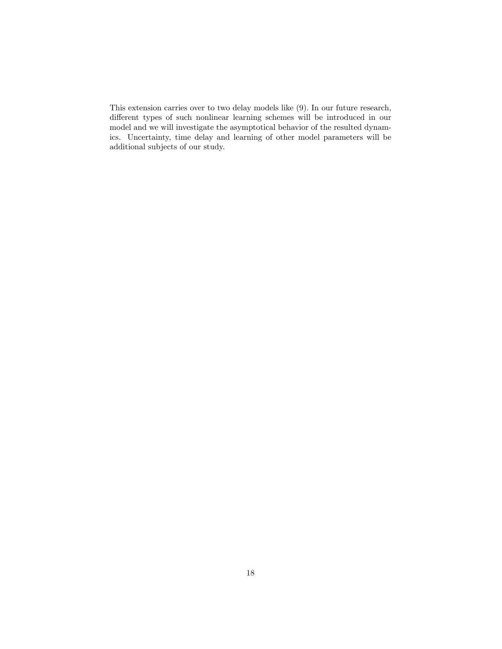This extension carries over to two delay models like (9). In our future research, different types of such nonlinear learning schemes will be introduced in our model and we will investigate the asymptotical behavior of the resulted dynamics. Uncertainty, time delay and learning of other model parameters will be additional subjects of our study.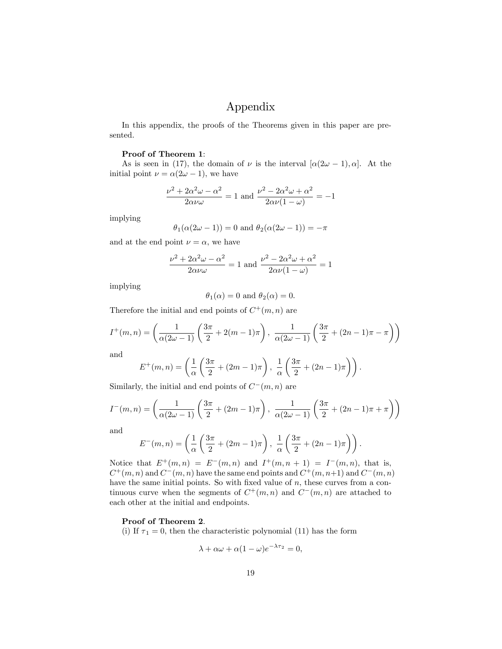# Appendix

In this appendix, the proofs of the Theorems given in this paper are presented.

### Proof of Theorem 1:

As is seen in (17), the domain of  $\nu$  is the interval  $[\alpha(2\omega - 1), \alpha]$ . At the initial point  $\nu = \alpha(2\omega - 1)$ , we have

$$
\frac{\nu^2 + 2\alpha^2 \omega - \alpha^2}{2\alpha\nu\omega} = 1
$$
 and 
$$
\frac{\nu^2 - 2\alpha^2 \omega + \alpha^2}{2\alpha\nu(1 - \omega)} = -1
$$

implying

$$
\theta_1(\alpha(2\omega - 1)) = 0
$$
 and  $\theta_2(\alpha(2\omega - 1)) = -\pi$ 

and at the end point  $\nu = \alpha$ , we have

$$
\frac{\nu^2 + 2\alpha^2 \omega - \alpha^2}{2\alpha\nu\omega} = 1
$$
 and 
$$
\frac{\nu^2 - 2\alpha^2 \omega + \alpha^2}{2\alpha\nu(1 - \omega)} = 1
$$

implying

$$
\theta_1(\alpha) = 0
$$
 and  $\theta_2(\alpha) = 0$ .

Therefore the initial and end points of  $C^+(m,n)$  are

$$
I^+(m,n) = \left(\frac{1}{\alpha(2\omega - 1)} \left(\frac{3\pi}{2} + 2(m-1)\pi\right), \frac{1}{\alpha(2\omega - 1)} \left(\frac{3\pi}{2} + (2n-1)\pi - \pi\right)\right)
$$

and

$$
E^+(m,n) = \left(\frac{1}{\alpha} \left( \frac{3\pi}{2} + (2m-1)\pi \right), \frac{1}{\alpha} \left( \frac{3\pi}{2} + (2n-1)\pi \right) \right).
$$

Similarly, the initial and end points of  $C^-(m, n)$  are

$$
I^{-}(m,n) = \left(\frac{1}{\alpha(2\omega - 1)}\left(\frac{3\pi}{2} + (2m - 1)\pi\right), \frac{1}{\alpha(2\omega - 1)}\left(\frac{3\pi}{2} + (2n - 1)\pi + \pi\right)\right)
$$

and

$$
E^{-}(m, n) = \left(\frac{1}{\alpha} \left( \frac{3\pi}{2} + (2m - 1)\pi \right), \frac{1}{\alpha} \left( \frac{3\pi}{2} + (2n - 1)\pi \right) \right).
$$

Notice that  $E^+(m,n) = E^-(m,n)$  and  $I^+(m,n+1) = I^-(m,n)$ , that is,  $C^+(m,n)$  and  $C^-(m,n)$  have the same end points and  $C^+(m,n+1)$  and  $C^-(m,n)$ have the same initial points. So with fixed value of  $n$ , these curves from a continuous curve when the segments of  $C^+(m,n)$  and  $C^-(m,n)$  are attached to each other at the initial and endpoints.

### Proof of Theorem 2.

(i) If  $\tau_1 = 0$ , then the characteristic polynomial (11) has the form

$$
\lambda + \alpha \omega + \alpha (1 - \omega) e^{-\lambda \tau_2} = 0,
$$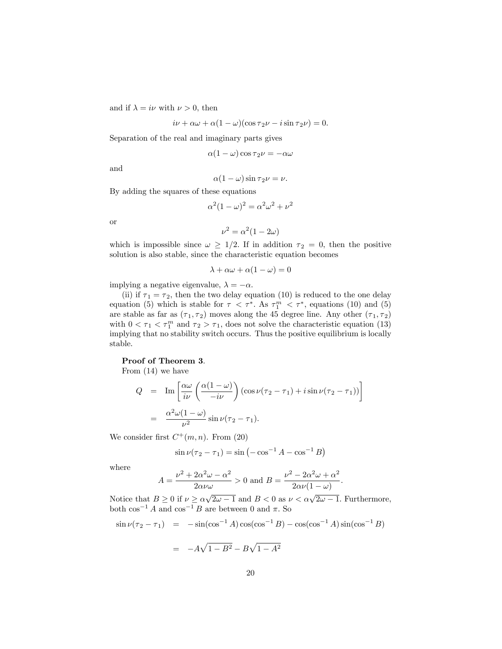and if  $\lambda = i\nu$  with  $\nu > 0$ , then

$$
i\nu + \alpha\omega + \alpha(1 - \omega)(\cos \tau_2 \nu - i \sin \tau_2 \nu) = 0.
$$

Separation of the real and imaginary parts gives

$$
\alpha(1-\omega)\cos\tau_2\nu=-\alpha\omega
$$

and

$$
\alpha(1-\omega)\sin\tau_2\nu=\nu.
$$

By adding the squares of these equations

$$
\alpha^2 (1 - \omega)^2 = \alpha^2 \omega^2 + \nu^2
$$

or

$$
\nu^2 = \alpha^2 (1 - 2\omega)
$$

which is impossible since  $\omega \geq 1/2$ . If in addition  $\tau_2 = 0$ , then the positive solution is also stable, since the characteristic equation becomes

$$
\lambda + \alpha \omega + \alpha (1 - \omega) = 0
$$

implying a negative eigenvalue,  $\lambda = -\alpha$ .

(ii) if  $\tau_1 = \tau_2$ , then the two delay equation (10) is reduced to the one delay equation (5) which is stable for  $\tau < \tau^*$ . As  $\tau_1^m < \tau^*$ , equations (10) and (5) are stable as far as  $(\tau_1, \tau_2)$  moves along the 45 degree line. Any other  $(\tau_1, \tau_2)$ with  $0 < \tau_1 < \tau_1^m$  and  $\tau_2 > \tau_1$ , does not solve the characteristic equation (13) implying that no stability switch occurs. Thus the positive equilibrium is locally stable.

#### Proof of Theorem 3.

From (14) we have

$$
Q = \operatorname{Im} \left[ \frac{\alpha \omega}{i \nu} \left( \frac{\alpha (1 - \omega)}{-i \nu} \right) (\cos \nu (\tau_2 - \tau_1) + i \sin \nu (\tau_2 - \tau_1)) \right]
$$

$$
= \frac{\alpha^2 \omega (1 - \omega)}{\nu^2} \sin \nu (\tau_2 - \tau_1).
$$

We consider first  $C^+(m,n)$ . From (20)

$$
\sin \nu (\tau_2 - \tau_1) = \sin (-\cos^{-1} A - \cos^{-1} B)
$$

where

$$
A = \frac{\nu^2 + 2\alpha^2 \omega - \alpha^2}{2\alpha \nu \omega} > 0 \text{ and } B = \frac{\nu^2 - 2\alpha^2 \omega + \alpha^2}{2\alpha \nu (1 - \omega)}.
$$

Notice that  $B \ge 0$  if  $\nu \ge \alpha \sqrt{2\omega - 1}$  and  $B < 0$  as  $\nu < \alpha \sqrt{2\omega - 1}$ . Furthermore, both  $\cos^{-1}A$  and  $\cos^{-1}B$  are between 0 and  $\pi.$  So

$$
\sin \nu (\tau_2 - \tau_1) = -\sin(\cos^{-1} A) \cos(\cos^{-1} B) - \cos(\cos^{-1} A) \sin(\cos^{-1} B)
$$

$$
= -A\sqrt{1 - B^2} - B\sqrt{1 - A^2}
$$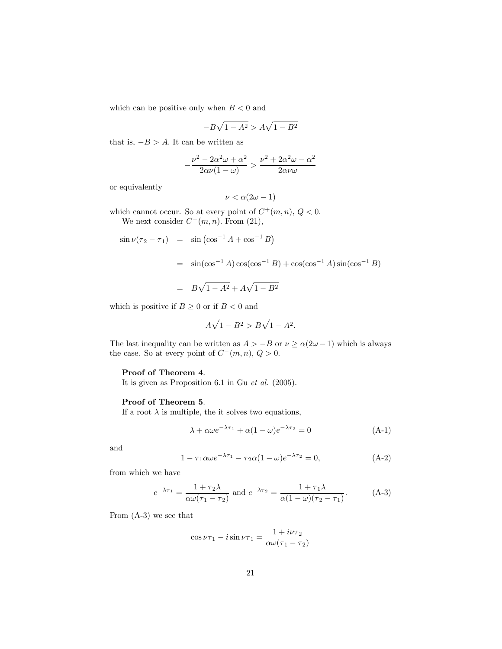which can be positive only when  $B < 0$  and

$$
-B\sqrt{1-A^2} > A\sqrt{1-B^2}
$$

that is,  $-B > A$ . It can be written as

$$
-\frac{\nu^2 - 2\alpha^2\omega + \alpha^2}{2\alpha\nu(1-\omega)} > \frac{\nu^2 + 2\alpha^2\omega - \alpha^2}{2\alpha\nu\omega}
$$

or equivalently

$$
\nu < \alpha(2\omega - 1)
$$

which cannot occur. So at every point of  $C^+(m,n)$ ,  $Q < 0$ . We next consider  $C^-(m,n)$ . From  $(21)$ ,

$$
\sin \nu (\tau_2 - \tau_1) = \sin (\cos^{-1} A + \cos^{-1} B)
$$
  
=  $\sin(\cos^{-1} A) \cos(\cos^{-1} B) + \cos(\cos^{-1} A) \sin(\cos^{-1} B)$   
=  $B\sqrt{1 - A^2} + A\sqrt{1 - B^2}$ 

which is positive if  $B\geq 0$  or if  $B<0$  and

$$
A\sqrt{1-B^2} > B\sqrt{1-A^2}.
$$

The last inequality can be written as  $A > -B$  or  $\nu \ge \alpha(2\omega - 1)$  which is always the case. So at every point of  $C^-(m,n)$ ,  $Q > 0$ .

### Proof of Theorem 4.

It is given as Proposition 6.1 in Gu et al. (2005).

### Proof of Theorem 5.

If a root  $\lambda$  is multiple, the it solves two equations,

$$
\lambda + \alpha \omega e^{-\lambda \tau_1} + \alpha (1 - \omega) e^{-\lambda \tau_2} = 0 \tag{A-1}
$$

and

$$
1 - \tau_1 \alpha \omega e^{-\lambda \tau_1} - \tau_2 \alpha (1 - \omega) e^{-\lambda \tau_2} = 0, \tag{A-2}
$$

from which we have

$$
e^{-\lambda \tau_1} = \frac{1 + \tau_2 \lambda}{\alpha \omega(\tau_1 - \tau_2)} \text{ and } e^{-\lambda \tau_2} = \frac{1 + \tau_1 \lambda}{\alpha (1 - \omega)(\tau_2 - \tau_1)}.
$$
 (A-3)

From (A-3) we see that

$$
\cos \nu \tau_1 - i \sin \nu \tau_1 = \frac{1 + i \nu \tau_2}{\alpha \omega (\tau_1 - \tau_2)}
$$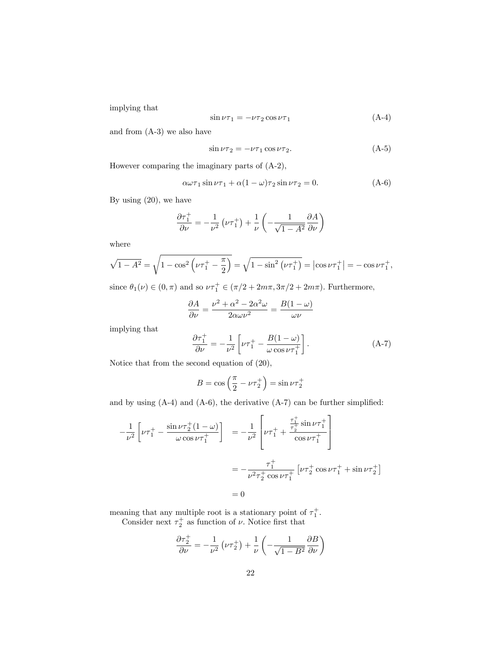implying that

$$
\sin \nu \tau_1 = -\nu \tau_2 \cos \nu \tau_1 \tag{A-4}
$$

and from (A-3) we also have

$$
\sin \nu \tau_2 = -\nu \tau_1 \cos \nu \tau_2. \tag{A-5}
$$

However comparing the imaginary parts of (A-2),

$$
\alpha\omega\tau_1\sin\nu\tau_1 + \alpha(1-\omega)\tau_2\sin\nu\tau_2 = 0.
$$
 (A-6)

By using (20), we have

$$
\frac{\partial \tau_1^+}{\partial \nu} = -\frac{1}{\nu^2} \left( \nu \tau_1^+ \right) + \frac{1}{\nu} \left( -\frac{1}{\sqrt{1 - A^2}} \frac{\partial A}{\partial \nu} \right)
$$

where

$$
\sqrt{1 - A^2} = \sqrt{1 - \cos^2\left(\nu \tau_1^+ - \frac{\pi}{2}\right)} = \sqrt{1 - \sin^2\left(\nu \tau_1^+\right)} = \left|\cos \nu \tau_1^+\right| = -\cos \nu \tau_1^+,
$$

since  $\theta_1(\nu) \in (0, \pi)$  and so  $\nu \tau_1^+ \in (\pi/2 + 2m\pi, 3\pi/2 + 2m\pi)$ . Furthermore,

$$
\frac{\partial A}{\partial \nu} = \frac{\nu^2 + \alpha^2 - 2\alpha^2 \omega}{2\alpha \omega \nu^2} = \frac{B(1 - \omega)}{\omega \nu}
$$

implying that

$$
\frac{\partial \tau_1^+}{\partial \nu} = -\frac{1}{\nu^2} \left[ \nu \tau_1^+ - \frac{B(1-\omega)}{\omega \cos \nu \tau_1^+} \right]. \tag{A-7}
$$

Notice that from the second equation of (20),

$$
B = \cos\left(\frac{\pi}{2} - \nu \tau_2^+\right) = \sin \nu \tau_2^+
$$

and by using  $(A-4)$  and  $(A-6)$ , the derivative  $(A-7)$  can be further simplified:

$$
-\frac{1}{\nu^2} \left[ \nu \tau_1^+ - \frac{\sin \nu \tau_2^+ (1 - \omega)}{\omega \cos \nu \tau_1^+} \right] = -\frac{1}{\nu^2} \left[ \nu \tau_1^+ + \frac{\frac{\tau_1^+}{\tau_2^+} \sin \nu \tau_1^+}{\cos \nu \tau_1^+} \right]
$$
  

$$
= -\frac{\tau_1^+}{\nu^2 \tau_2^+ \cos \nu \tau_1^+} \left[ \nu \tau_2^+ \cos \nu \tau_1^+ + \sin \nu \tau_2^+ \right]
$$
  

$$
= 0
$$

meaning that any multiple root is a stationary point of  $\tau_1^+$ . Consider next  $\tau_2^+$  as function of  $\nu$ . Notice first that

$$
\frac{\partial \tau_2^+}{\partial \nu} = -\frac{1}{\nu^2} \left( \nu \tau_2^+ \right) + \frac{1}{\nu} \left( -\frac{1}{\sqrt{1 - B^2}} \frac{\partial B}{\partial \nu} \right)
$$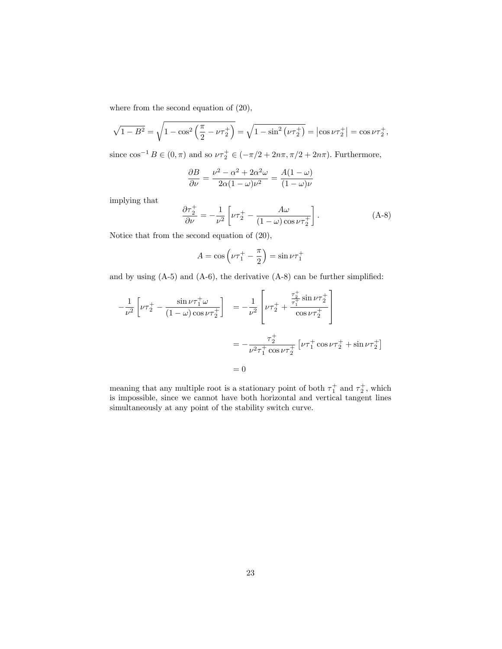where from the second equation of (20),

$$
\sqrt{1 - B^2} = \sqrt{1 - \cos^2\left(\frac{\pi}{2} - \nu\tau_2^+\right)} = \sqrt{1 - \sin^2\left(\nu\tau_2^+\right)} = \left|\cos \nu\tau_2^+\right| = \cos \nu\tau_2^+,
$$

since  $\cos^{-1} B \in (0, \pi)$  and so  $\nu \tau_2^+ \in (-\pi/2 + 2n\pi, \pi/2 + 2n\pi)$ . Furthermore,

$$
\frac{\partial B}{\partial \nu} = \frac{\nu^2 - \alpha^2 + 2\alpha^2 \omega}{2\alpha (1 - \omega)\nu^2} = \frac{A(1 - \omega)}{(1 - \omega)\nu}
$$

implying that

$$
\frac{\partial \tau_2^+}{\partial \nu} = -\frac{1}{\nu^2} \left[ \nu \tau_2^+ - \frac{A\omega}{(1-\omega)\cos \nu \tau_2^+} \right]. \tag{A-8}
$$

Notice that from the second equation of (20),

$$
A = \cos\left(\nu \tau_1^+ - \frac{\pi}{2}\right) = \sin \nu \tau_1^+
$$

and by using  $(A-5)$  and  $(A-6)$ , the derivative  $(A-8)$  can be further simplified:

$$
-\frac{1}{\nu^2} \left[ \nu \tau_2^+ - \frac{\sin \nu \tau_1^+ \omega}{(1 - \omega) \cos \nu \tau_2^+} \right] = -\frac{1}{\nu^2} \left[ \nu \tau_2^+ + \frac{\frac{\tau_2^+}{\tau_1^+} \sin \nu \tau_2^+}{\cos \nu \tau_2^+} \right]
$$
  

$$
= -\frac{\tau_2^+}{\nu^2 \tau_1^+ \cos \nu \tau_2^+} \left[ \nu \tau_1^+ \cos \nu \tau_2^+ + \sin \nu \tau_2^+ \right]
$$
  

$$
= 0
$$

meaning that any multiple root is a stationary point of both  $\tau_1^+$  and  $\tau_2^+$ , which is impossible, since we cannot have both horizontal and vertical tangent lines simultaneously at any point of the stability switch curve.